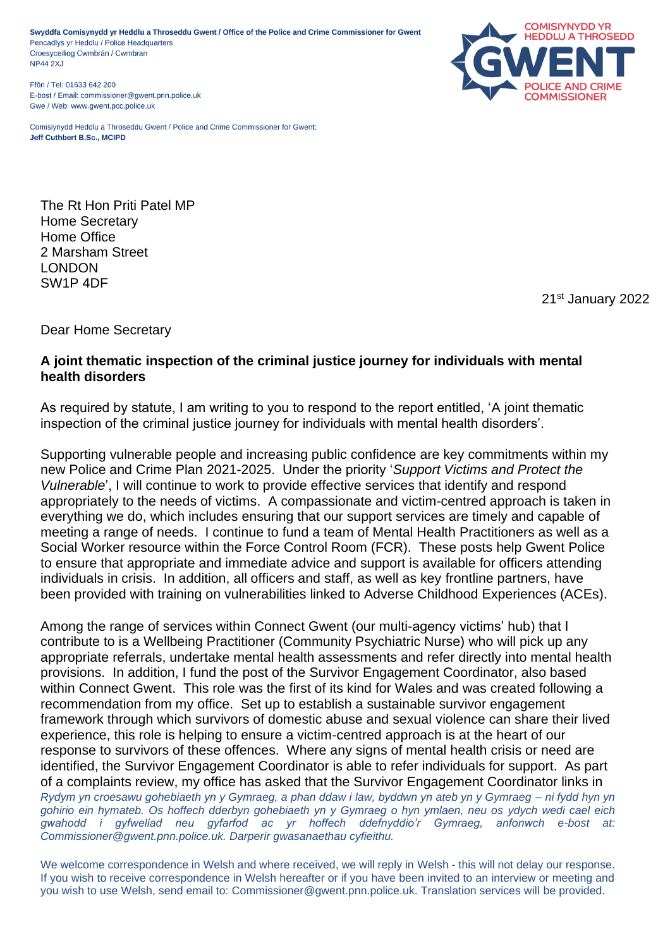Swyddfa Comisynydd yr Heddlu a Throseddu Gwent / Office of the Police and Crime Commissioner for Gwent Pencadlys yr Heddlu / Police Headquarters Croesyceiliog Cwmbrân / Cwmbran **NP44 2XJ** 

Ffôn / Tel: 01633 642 200 E-bost / Email: commissioner@gwent.pnn.police.uk Gwe / Web: www.gwent.pcc.police.uk

Comisiynydd Heddlu a Throseddu Gwent / Police and Crime Commissioner for Gwent: Jeff Cuthbert B.Sc., MCIPD



The Rt Hon Priti Patel MP Home Secretary Home Office 2 Marsham Street LONDON SW1P 4DF

21st January 2022

Dear Home Secretary

## **A joint thematic inspection of the criminal justice journey for individuals with mental health disorders**

As required by statute, I am writing to you to respond to the report entitled, 'A joint thematic inspection of the criminal justice journey for individuals with mental health disorders'.

Supporting vulnerable people and increasing public confidence are key commitments within my new Police and Crime Plan 2021-2025. Under the priority '*Support Victims and Protect the Vulnerable*', I will continue to work to provide effective services that identify and respond appropriately to the needs of victims. A compassionate and victim-centred approach is taken in everything we do, which includes ensuring that our support services are timely and capable of meeting a range of needs. I continue to fund a team of Mental Health Practitioners as well as a Social Worker resource within the Force Control Room (FCR). These posts help Gwent Police to ensure that appropriate and immediate advice and support is available for officers attending individuals in crisis. In addition, all officers and staff, as well as key frontline partners, have been provided with training on vulnerabilities linked to Adverse Childhood Experiences (ACEs).

*Rydym yn croesawu gohebiaeth yn y Gymraeg, a phan ddaw i law, byddwn yn ateb yn y Gymraeg – ni fydd hyn yn gohirio ein hymateb. Os hoffech dderbyn gohebiaeth yn y Gymraeg o hyn ymlaen, neu os ydych wedi cael eich gwahodd i gyfweliad neu gyfarfod ac yr hoffech ddefnyddio'r Gymraeg, anfonwch e-bost at: Commissioner@gwent.pnn.police.uk. Darperir gwasanaethau cyfieithu.* Among the range of services within Connect Gwent (our multi-agency victims' hub) that I contribute to is a Wellbeing Practitioner (Community Psychiatric Nurse) who will pick up any appropriate referrals, undertake mental health assessments and refer directly into mental health provisions. In addition, I fund the post of the Survivor Engagement Coordinator, also based within Connect Gwent. This role was the first of its kind for Wales and was created following a recommendation from my office. Set up to establish a sustainable survivor engagement framework through which survivors of domestic abuse and sexual violence can share their lived experience, this role is helping to ensure a victim-centred approach is at the heart of our response to survivors of these offences. Where any signs of mental health crisis or need are identified, the Survivor Engagement Coordinator is able to refer individuals for support. As part of a complaints review, my office has asked that the Survivor Engagement Coordinator links in

We welcome correspondence in Welsh and where received, we will reply in Welsh - this will not delay our response. If you wish to receive correspondence in Welsh hereafter or if you have been invited to an interview or meeting and you wish to use Welsh, send email to: Commissioner@gwent.pnn.police.uk. Translation services will be provided.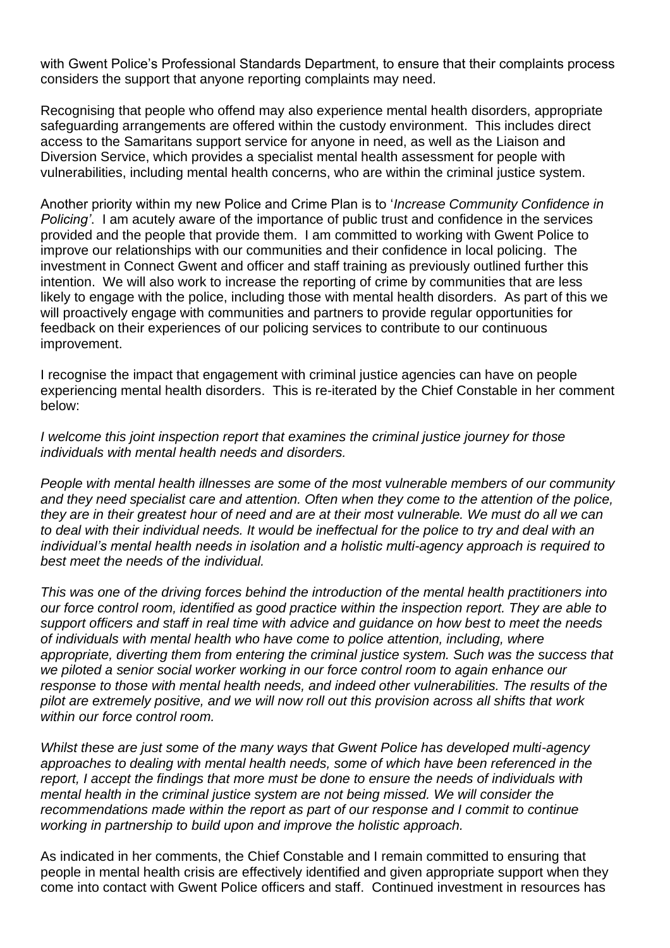with Gwent Police's Professional Standards Department, to ensure that their complaints process considers the support that anyone reporting complaints may need.

Recognising that people who offend may also experience mental health disorders, appropriate safeguarding arrangements are offered within the custody environment. This includes direct access to the Samaritans support service for anyone in need, as well as the Liaison and Diversion Service, which provides a specialist mental health assessment for people with vulnerabilities, including mental health concerns, who are within the criminal justice system.

Another priority within my new Police and Crime Plan is to '*Increase Community Confidence in Policing'*. I am acutely aware of the importance of public trust and confidence in the services provided and the people that provide them. I am committed to working with Gwent Police to improve our relationships with our communities and their confidence in local policing. The investment in Connect Gwent and officer and staff training as previously outlined further this intention. We will also work to increase the reporting of crime by communities that are less likely to engage with the police, including those with mental health disorders. As part of this we will proactively engage with communities and partners to provide regular opportunities for feedback on their experiences of our policing services to contribute to our continuous improvement.

I recognise the impact that engagement with criminal justice agencies can have on people experiencing mental health disorders. This is re-iterated by the Chief Constable in her comment below:

*I welcome this joint inspection report that examines the criminal justice journey for those individuals with mental health needs and disorders.* 

*People with mental health illnesses are some of the most vulnerable members of our community and they need specialist care and attention. Often when they come to the attention of the police, they are in their greatest hour of need and are at their most vulnerable. We must do all we can to deal with their individual needs. It would be ineffectual for the police to try and deal with an individual's mental health needs in isolation and a holistic multi-agency approach is required to best meet the needs of the individual.*

*This was one of the driving forces behind the introduction of the mental health practitioners into our force control room, identified as good practice within the inspection report. They are able to support officers and staff in real time with advice and guidance on how best to meet the needs of individuals with mental health who have come to police attention, including, where appropriate, diverting them from entering the criminal justice system. Such was the success that we piloted a senior social worker working in our force control room to again enhance our response to those with mental health needs, and indeed other vulnerabilities. The results of the pilot are extremely positive, and we will now roll out this provision across all shifts that work within our force control room.*

*Whilst these are just some of the many ways that Gwent Police has developed multi-agency approaches to dealing with mental health needs, some of which have been referenced in the report, I accept the findings that more must be done to ensure the needs of individuals with mental health in the criminal justice system are not being missed. We will consider the recommendations made within the report as part of our response and I commit to continue working in partnership to build upon and improve the holistic approach.* 

As indicated in her comments, the Chief Constable and I remain committed to ensuring that people in mental health crisis are effectively identified and given appropriate support when they come into contact with Gwent Police officers and staff. Continued investment in resources has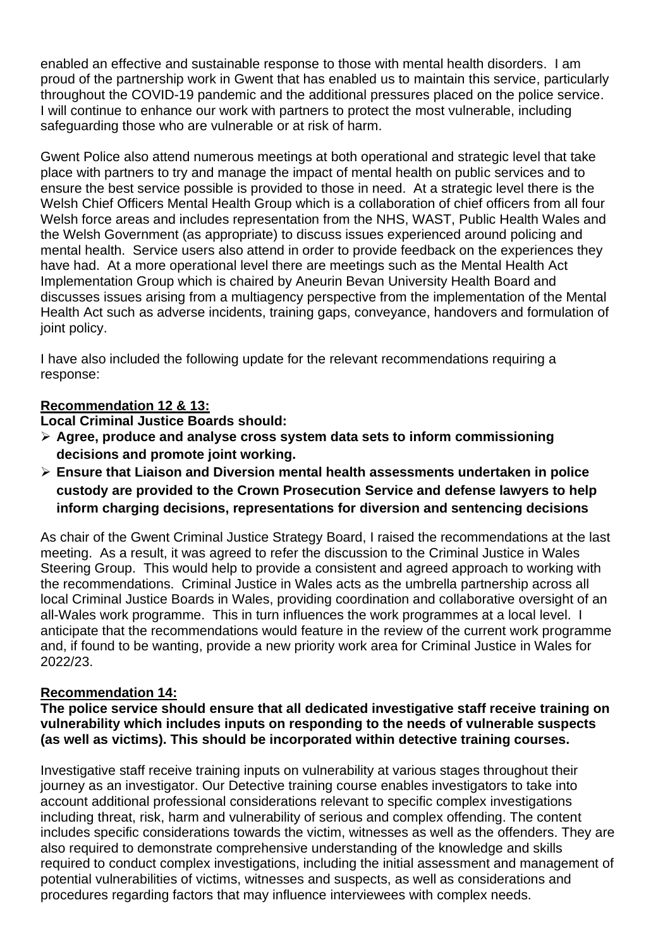enabled an effective and sustainable response to those with mental health disorders. I am proud of the partnership work in Gwent that has enabled us to maintain this service, particularly throughout the COVID-19 pandemic and the additional pressures placed on the police service. I will continue to enhance our work with partners to protect the most vulnerable, including safeguarding those who are vulnerable or at risk of harm.

Gwent Police also attend numerous meetings at both operational and strategic level that take place with partners to try and manage the impact of mental health on public services and to ensure the best service possible is provided to those in need. At a strategic level there is the Welsh Chief Officers Mental Health Group which is a collaboration of chief officers from all four Welsh force areas and includes representation from the NHS, WAST, Public Health Wales and the Welsh Government (as appropriate) to discuss issues experienced around policing and mental health. Service users also attend in order to provide feedback on the experiences they have had. At a more operational level there are meetings such as the Mental Health Act Implementation Group which is chaired by Aneurin Bevan University Health Board and discusses issues arising from a multiagency perspective from the implementation of the Mental Health Act such as adverse incidents, training gaps, conveyance, handovers and formulation of joint policy.

I have also included the following update for the relevant recommendations requiring a response:

# **Recommendation 12 & 13:**

**Local Criminal Justice Boards should:**

- ➢ **Agree, produce and analyse cross system data sets to inform commissioning decisions and promote joint working.**
- ➢ **Ensure that Liaison and Diversion mental health assessments undertaken in police custody are provided to the Crown Prosecution Service and defense lawyers to help inform charging decisions, representations for diversion and sentencing decisions**

As chair of the Gwent Criminal Justice Strategy Board, I raised the recommendations at the last meeting. As a result, it was agreed to refer the discussion to the Criminal Justice in Wales Steering Group. This would help to provide a consistent and agreed approach to working with the recommendations. Criminal Justice in Wales acts as the umbrella partnership across all local Criminal Justice Boards in Wales, providing coordination and collaborative oversight of an all-Wales work programme. This in turn influences the work programmes at a local level. I anticipate that the recommendations would feature in the review of the current work programme and, if found to be wanting, provide a new priority work area for Criminal Justice in Wales for 2022/23.

# **Recommendation 14:**

**The police service should ensure that all dedicated investigative staff receive training on vulnerability which includes inputs on responding to the needs of vulnerable suspects (as well as victims). This should be incorporated within detective training courses.**

Investigative staff receive training inputs on vulnerability at various stages throughout their journey as an investigator. Our Detective training course enables investigators to take into account additional professional considerations relevant to specific complex investigations including threat, risk, harm and vulnerability of serious and complex offending. The content includes specific considerations towards the victim, witnesses as well as the offenders. They are also required to demonstrate comprehensive understanding of the knowledge and skills required to conduct complex investigations, including the initial assessment and management of potential vulnerabilities of victims, witnesses and suspects, as well as considerations and procedures regarding factors that may influence interviewees with complex needs.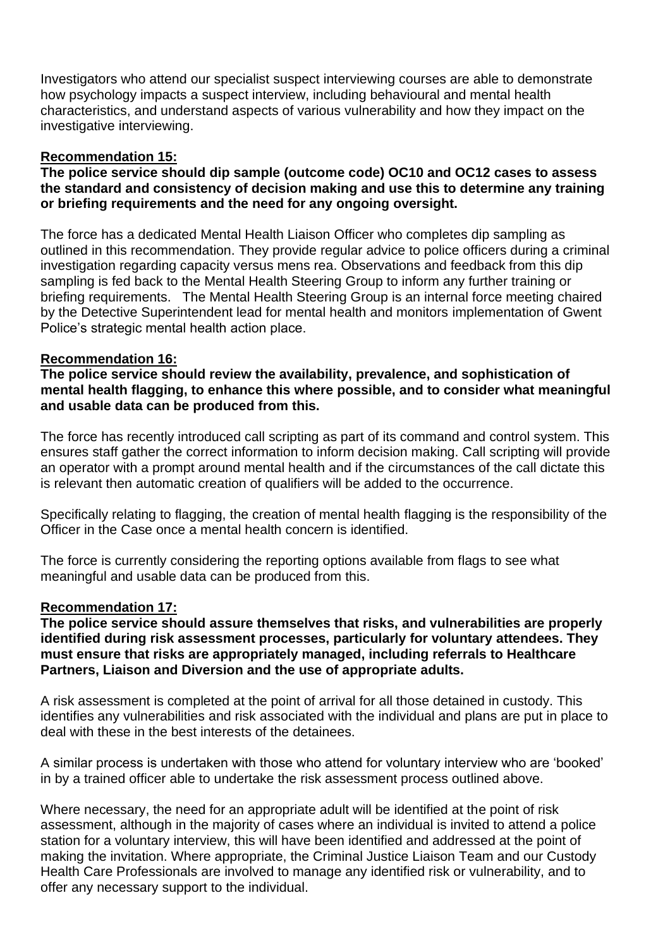Investigators who attend our specialist suspect interviewing courses are able to demonstrate how psychology impacts a suspect interview, including behavioural and mental health characteristics, and understand aspects of various vulnerability and how they impact on the investigative interviewing.

### **Recommendation 15:**

### **The police service should dip sample (outcome code) OC10 and OC12 cases to assess the standard and consistency of decision making and use this to determine any training or briefing requirements and the need for any ongoing oversight.**

The force has a dedicated Mental Health Liaison Officer who completes dip sampling as outlined in this recommendation. They provide regular advice to police officers during a criminal investigation regarding capacity versus mens rea. Observations and feedback from this dip sampling is fed back to the Mental Health Steering Group to inform any further training or briefing requirements. The Mental Health Steering Group is an internal force meeting chaired by the Detective Superintendent lead for mental health and monitors implementation of Gwent Police's strategic mental health action place.

## **Recommendation 16:**

**The police service should review the availability, prevalence, and sophistication of mental health flagging, to enhance this where possible, and to consider what meaningful and usable data can be produced from this.**

The force has recently introduced call scripting as part of its command and control system. This ensures staff gather the correct information to inform decision making. Call scripting will provide an operator with a prompt around mental health and if the circumstances of the call dictate this is relevant then automatic creation of qualifiers will be added to the occurrence.

Specifically relating to flagging, the creation of mental health flagging is the responsibility of the Officer in the Case once a mental health concern is identified.

The force is currently considering the reporting options available from flags to see what meaningful and usable data can be produced from this.

### **Recommendation 17:**

**The police service should assure themselves that risks, and vulnerabilities are properly identified during risk assessment processes, particularly for voluntary attendees. They must ensure that risks are appropriately managed, including referrals to Healthcare Partners, Liaison and Diversion and the use of appropriate adults.**

A risk assessment is completed at the point of arrival for all those detained in custody. This identifies any vulnerabilities and risk associated with the individual and plans are put in place to deal with these in the best interests of the detainees.

A similar process is undertaken with those who attend for voluntary interview who are 'booked' in by a trained officer able to undertake the risk assessment process outlined above.

Where necessary, the need for an appropriate adult will be identified at the point of risk assessment, although in the majority of cases where an individual is invited to attend a police station for a voluntary interview, this will have been identified and addressed at the point of making the invitation. Where appropriate, the Criminal Justice Liaison Team and our Custody Health Care Professionals are involved to manage any identified risk or vulnerability, and to offer any necessary support to the individual.